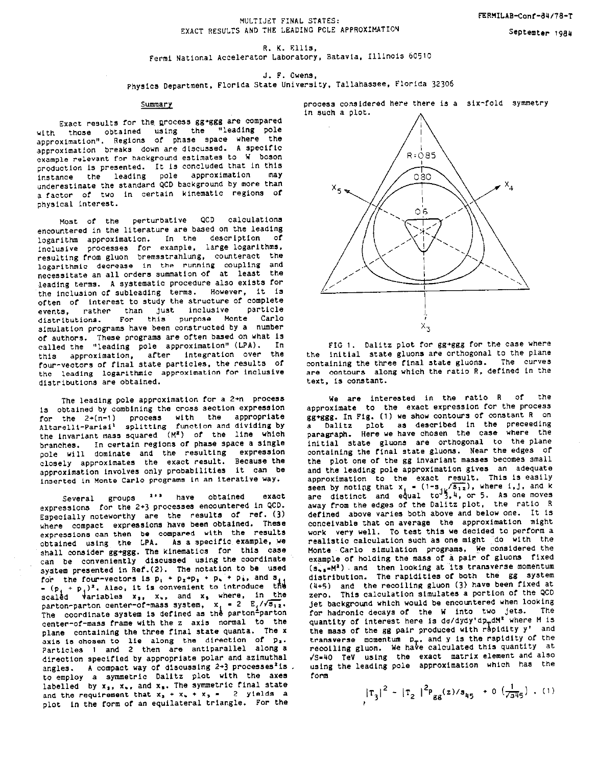Septemter 1984

R. K. Ellis, Fermi National Accelerator Laboratory, Batavia, Illinois 60510

J. F. Owens,

Physics Department, Florida State University, Tallahassee, Florida 32306

## Summary

Exact results for the process gg+ggg are compared with those obtained using the "leading pole approximation". Regions of phase space where the approximation breaks down are discussed. A specific example relevant for background estimates to W boson production is presented. It is concluded that in this instance the leading pole approximation may underestimate the standard QCD background by more than a factor of two in certain kinematic regions of physical interest.

Most of the perturbative QCD calculations encountered in the literature are based on the leading logarithm approximation. In the description of inclusive processes for example, large logarithms, resulting from gluon bremsstrahlung, counteract the logarithmic decrease in the running coupling and necessitate an all orders summation of at least the leading terms. A systematic procedure also exists for the inclusion of subleading terms. However, it is often of interest to study the structure of complete events, rather than just inclusive particle<br>distributions. For this purpose Monte Carlo simulation programs have been constructed by a number of authors. These programs are often based on what is called the "leading pole approximation" (LPA). In this approximation, after integration over the four-vectors of final state particles, the results of the leading logarithmic approximation for inclusive distributions are obtained.

The leading pole approximation for a 2+n process is obtained by combining the cross section expression for the 2+(n-1) process with the appropriate<br>Altarelli-Parisi<sup>1</sup> splitting function and dividing by the invariant mass squared (M<sup>2</sup>) of the line which branches. In certain regions of phase space a single<br>pole will dominate and the resulting expression closely approximates the exact result. Because the approximation involves only probabilities it can be inserted in Monte Carlo programs in an iterative way.

2'<sup>3</sup> have obtained Several groups exact expressions for the 2+3 processes encountered in QCD. Especially noteworthy are the results of ref. (3) where compact expressions have been obtained. These expressions can then be compared with the results obtained using the LPA. As a specific example, we shall consider gg+ggg. The kinematics for this case can be conveniently discussed using the coordinate system presented in Ref. (2). The notation to be used for the four-vectors is  $p_1 + p_2 + p_3 + p_4 + p_5$ , and  $s_{11} - (p_1 + p_1)^2$ . Also, it is convenient to introduce the<br>scaled variables  $x_3$ ,  $x_4$ , and  $x_5$  where, in the parton-parton center-of-mass system,  $x_1 = 2 E_1/\sqrt{s_{12}}$ . The coordinate system is defined as the parton-parton center-of-mass frame with the z axis normal to the plane containing the three final state quanta. The x axis is chosen to lie along the direction of p. Particles 1 and 2 then are antiparallel along a direction specified by appropriate polar and azimuthal angles. A compact way of discussing  $2*3$  processes<sup>2</sup>is. to employ a symmetric Dalitz plot with the axes labelled by  $x_3$ ,  $x_4$ , and  $x_5$ . The symmetric final state and the requirement that  $x_3 + x_4 + x_5 = 2$  yields a plot in the form of an equilateral triangle. For the

process considered here there is a six-fold symmetry in such a plot.



FIG 1. Dalitz plot for gg+ggg for the case where the initial state gluons are orthogonal to the plane containing the three final state gluons. The curves are contours along which the ratio R, defined in the text, is constant.

We are interested in the ratio R of the approximate to the exact expression for the process gg+ggg. In Fig. (1) we show contours of constant R on a Dalitz plot as described in the preceeding paragraph. Here we have chosen the case where the initial state gluons are orthogonal to the plane containing the final state gluons. Near the edges of the plot one of the gg invariant masses becomes small and the leading pole approximation gives an adequate approximation to the exact result. This is easily seen by noting that  $x_1 = (1-s) \sqrt{3!2}$ , where i, j, and k<br>are distinct and equal to  $3, 4$ , or 5. As one moves away from the edges of the Dalitz plot, the ratio R defined above varies both above and below one. It is conceivable that on average the approximation might work very well. To test this we decided to perform a realistic calculation such as one might do with the Monte Carlo simulation programs. We considered the example of holding the mass of a pair of gluons fixed  $(s_{\star} = M^2)$  and then looking at its transverse momentum<br>distribution. The rapidities of both the gg system (4+5) and the recoiling gluon (3) have been fixed at zero. This calculation simulates a portion of the QCD jet background which would be encountered when looking for hadronic decays of the W into two jets. The quantity of interest here is do/dydy'dp<sub>r</sub>dM<sup>2</sup> where M is the mass of the gg pair produced with rapidity y' and transverse momentum  $p_T$ , and y is the rapidity of the recoiling gluon. We have calculated this quantity at /S=40 TeV using the exact matrix element and also using the leading pole approximation which has the form

 $|T_3|^2 - |T_2|^{2p}$ gg<sup>(z)/s</sup>45 + 0 ( $\frac{1}{\sqrt{345}}$ ) . (1)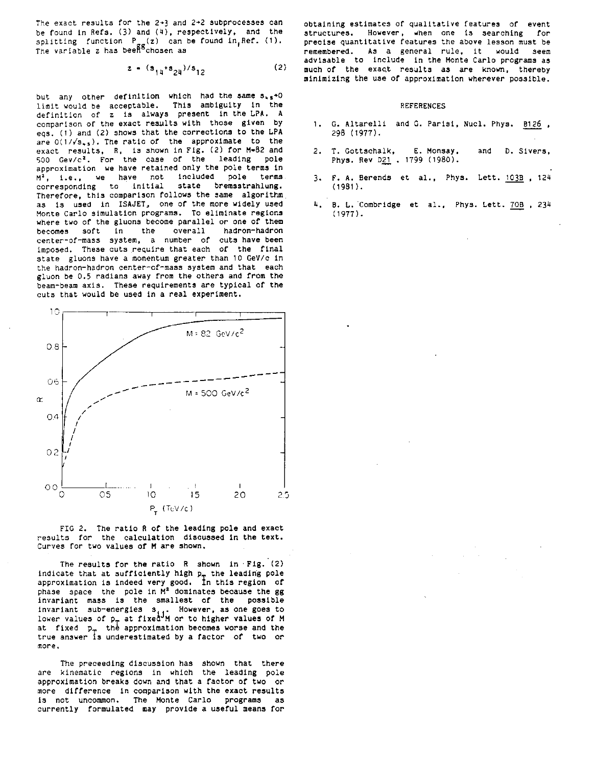The exact results for the  $2+3$  and  $2+2$  subprocesses can be found in Refs. (3) and (4), respectively, and the  $\text{splitting function}$   $\mathsf{P_{\_s}(z)}$  can be found in Ref. (1). The variable z has beefigchosen as

$$
z = (s_{14} + s_{24})/s_{12} \tag{2}
$$

but any other definition which had the same  $s_{+s}$ +0 limit would be acceptable. This ambiguity in the definition of z is always present in the LPA. A comparison of the exact results with those given by eqs. (1) and (2) shows that the corrections to the LPA are  $0(1/\sqrt{s_{+5}})$ . The ratio of the approximate to the exact results, R, is shown in Fig. (2) for M-82 and 500 Gev/c<sup>2</sup>. For the case of the leading pole approximation we have retained only the pole terms in  $M^2$ , i.e., we have not included pole terms<br>corresponding to initial state bremsstrahlung. corresponding to initial Therefore, this comparison follows the same algorithm as is used in ISAJET, one of the more widely used nonte Carlo simulation programs. To eliminate regions where two of the gluons become parallel or one of them becomes soft in the overall hadron-hadron center-of-mass system, a number of cuts have been imposed. These cuts require that each of the final state gluons have a momentum greater than 10 GeV/c in the hadron-hadron center-of-mass system and that each gluon be 0.5 radians away from the others and from the beam-beam axis. These requirements are typical of the cuts that would be used in a real experiment.



FIG 2. The ratio R of the leading pole and exact results for the calculation discussed in the text. Curves for two values of M are shown.

The results for the ratio R shown in Fig. (2) indicate that at sufficiently high  $p_T$  the leading pole approximation is indeed very good. Tn this region OP  $p_{\text{phase}}$  space the pole in  $M^2$  dominates because the gg invariant mass is the smallest of the possible invariant sub-energies  $s_{i,j}$ . However, as one goes to<br>lower values of  $p_{\text{m}}$  at fixed M or to higher values of M<br>at fixed  $p_{\text{m}}$  the approximation becomes worse and the true answer is underestimated by a factor of two or more.

The preceeding discussion has shown that there are kinematic regions in which the leading pole approximation breaks down and that a factor of two or more difference in comparison with the exact results is not uncommon. The Monte Carlo programs as currently formulated may provide a useful means for

obtaining estimates of qualitative features of event structures. However, when one is searching for precise quantitative features the above lesson must be remembered. As a general rule, it would seem advisable to include in the Monte Carlo programs as much of the exact results as are known, thereby minimizing the use of approximation wherever possible.

## REFERENCES

- 1. G. Altarelli and G. Parisi, Nucl. Phys. B126 , 298 (1977).
- 2. T. Gottschalk, E. Monsay, and D. Siver Phys. Rev D21, 1799 (1980).
- 3. F. A. Berends et al., Phys. Lett. 103B , 124 (1981).
- 4. B. L. Combridge et al.. Phys. Lett. 70B , 234 (1977).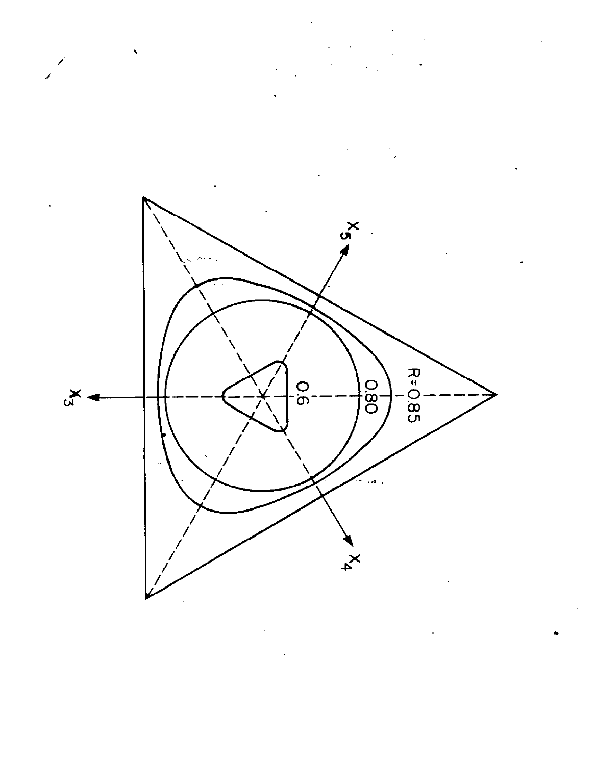